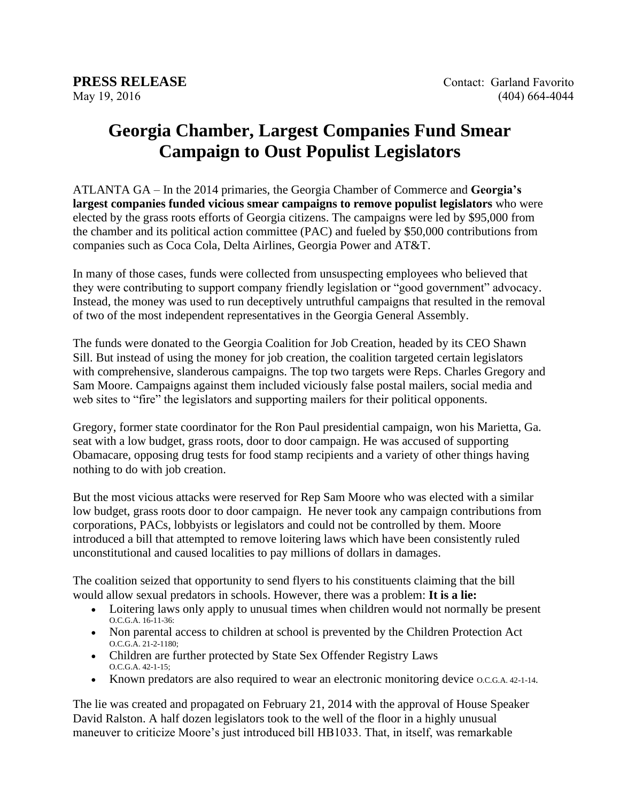## **Georgia Chamber, Largest Companies Fund Smear Campaign to Oust Populist Legislators**

ATLANTA GA – In the 2014 primaries, the Georgia Chamber of Commerce and **Georgia's largest companies funded vicious smear campaigns to remove populist legislators** who were elected by the grass roots efforts of Georgia citizens. The campaigns were led by \$95,000 from the chamber and its political action committee (PAC) and fueled by \$50,000 contributions from companies such as Coca Cola, Delta Airlines, Georgia Power and AT&T.

In many of those cases, funds were collected from unsuspecting employees who believed that they were contributing to support company friendly legislation or "good government" advocacy. Instead, the money was used to run deceptively untruthful campaigns that resulted in the removal of two of the most independent representatives in the Georgia General Assembly.

The funds were donated to the Georgia Coalition for Job Creation, headed by its CEO Shawn Sill. But instead of using the money for job creation, the coalition targeted certain legislators with comprehensive, slanderous campaigns. The top two targets were Reps. Charles Gregory and Sam Moore. Campaigns against them included viciously false postal mailers, social media and web sites to "fire" the legislators and supporting mailers for their political opponents.

Gregory, former state coordinator for the Ron Paul presidential campaign, won his Marietta, Ga. seat with a low budget, grass roots, door to door campaign. He was accused of supporting Obamacare, opposing drug tests for food stamp recipients and a variety of other things having nothing to do with job creation.

But the most vicious attacks were reserved for Rep Sam Moore who was elected with a similar low budget, grass roots door to door campaign. He never took any campaign contributions from corporations, PACs, lobbyists or legislators and could not be controlled by them. Moore introduced a bill that attempted to remove loitering laws which have been consistently ruled unconstitutional and caused localities to pay millions of dollars in damages.

The coalition seized that opportunity to send flyers to his constituents claiming that the bill would allow sexual predators in schools. However, there was a problem: **It is a lie:**

- Loitering laws only apply to unusual times when children would not normally be present O.C.G.A. 16-11-36:
- Non parental access to children at school is prevented by the Children Protection Act O.C.G.A. 21-2-1180;
- Children are further protected by State Sex Offender Registry Laws O.C.G.A. 42-1-15;
- Known predators are also required to wear an electronic monitoring device o.c.g. A. 42-1-14.

The lie was created and propagated on February 21, 2014 with the approval of House Speaker David Ralston. A half dozen legislators took to the well of the floor in a highly unusual maneuver to criticize Moore's just introduced bill HB1033. That, in itself, was remarkable